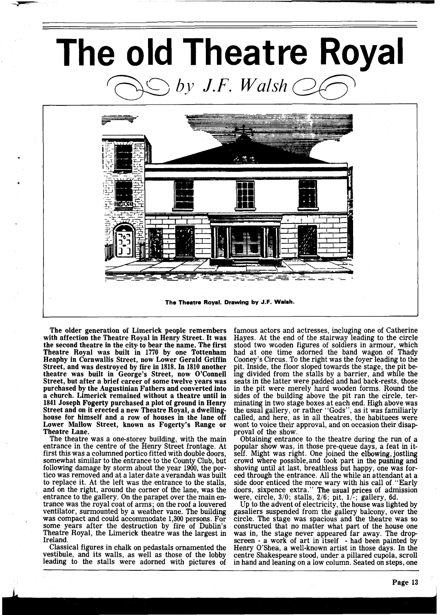## **The old Theatre Royal Figure 11 Integrate No. 3 6 PM**<br> **Canadian Communism**



The older generation of Limerick people remembers with affection the Theatre Royal in Henry Street. It was the second theatre in the city to bear the name. The first Theatre Royal was built in **1770** by one Tottenham Heaphy in Cornwallis Street, now Lower Gerald Griffin Street, and was destroyed by fire in **1818.** In **1810** another theatre was built in George's Street, now O'Connell Street, but after a brief career of some twelve years was purchased by the Augustinian Fathers and converted into a church. Limerick remained without a theatre until in Street and on it erected a new Theatre Royal, a dwelling-<br>house for himself and a row of houses in the lane off Lower Mallow Street, known as Fogerty's Range or Theatre Lane.

The theatre was a one-storey building, with the main entrance in the centre of the Henry Street frontage. At first this was a columned portico fitted with double doors, somewhat similar to the entrance to the County Club, but following damage by storm about the year 1900, the portico was removed and at a later date averandah was built to replace it. At the left was the entrance to the stalls, and on the right, around the corner of the lane, was the entrance to the gallery. On the parapet over the main entrance was the royal coat of arms; on the roof a louvered ventilator, surmounted by a weather vane. The building was compact and could accommodate 1,300 persons. For some years after the destruction by fire of Dublin's Theatre Royal, the Limerick theatre was the largest in Ireland.<br>Classical figures in chalk on pedastals ornamented the

vestibule, and its walls, as well as those of the lobby leading to the stalls were adorned with pictures of

famous actors and actresses, incluging one of Catherine Hayes. At the end of the stairway leading to the circle stood two wooden figures of soldiers in armour, which had at one time adorned the band wagon of Thady Cooney's Circus. To the right was the foyer leading to the pit. Inside, the floor sloped towards the stage, the pit be ing divided from the stalls by a barrier, and while the seats in the latter were padded and had back-rests, those in the pit were merely hard wooden forms. Round the sides of the building above the pit ran the circle, terminating in two stage boxes at each end. High above was the usual gallery, or rather "Gods", as it was familiarly called, and here, as in all theatres, the habituees were wont to voice their approval, and on occasion their disapproval of the show.

Obtaining entrance to the theatre during the run of a popular show was, in those pre-queue days, a feat in it-<br>self. Might was right. One joined the elbowing, jostling crowd where possible, and took part in the pushing and shoving until at last, breathless but happy, one was forced through the entrance. All the while an attendant at a side door enticed the more wary with his call of "Early doors, sixpence extra." The usual prices of admission were, circle,  $3/0$ ; stalls,  $2/6$ ; pit,  $1/-$ ; gallery, 6d.

gasaliers suspended from the gallery balcony, over the circle. The stage was spacious and the theatre was so constructed that no matter what part of the house one was in, the stage never appeared far away. The drop screen - a work of art in itself - had been painted by Henry O'Shea, a well-known artist in those days. In the centre Shakespeare stood, under a pillared cupola, scroll in hand and leaning on a low column. Seated on steps, one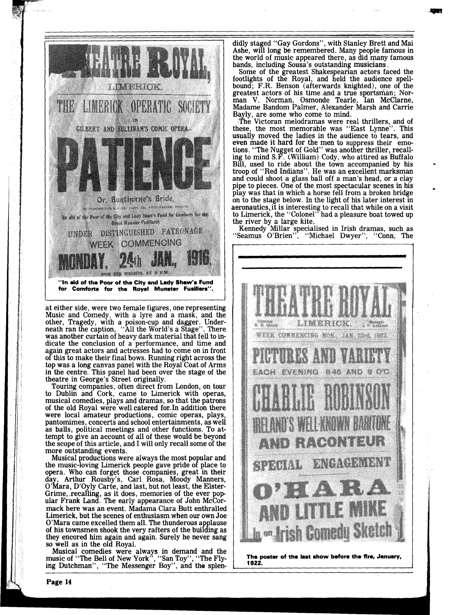

at either side, were two female figures, one representing Music and Comedy, with a lyre and a mask, and the other, Tragedy, with a poison-cup and dagger. Underneath ran the caption, "All the World's a Stage". There was another curtain of heavy dark material that fell to indicate the conclusion of a performance, and time and again great actors and actresses had to come on in front of this to make their final bows. Running right across the top was a long canvas panel with the Royal Coat of Arms in the centre. This panel had been over the stage of the

theatre in George's Street originally. Touring companies, often direct from London, on tour to Dublin and Cork, came to Limerick with operas, musical comedies, plays and dramas, so that the patrons of the old Royal were well catered for. In addition there were local amateur productions, comic operas, plays, pantomimes, concerts and school entertainments, as well as balls, political meetings and other functions. To attempt to give an account of all of these would be beyond the scope of this article, and I will only recall some of the more outstanding events.

Musical productions were always the most popular and the music-loving Limerick people gave pride of place to opera. Who can forget those companies, great in their day, Arthur Rousby's, Carl Rosa, Moody Manners, O'Mara, D'Oyly Carte, and last, but not least, the Elster-Grime, recalling, as it does, memories of the ever popular Frank Land. The early appearance of John McCormack here was an event. Madama Clara Butt enthralled Limerick, but the scenes of enthusiasm when our own Joe O'Mara came excelled them all. The thunderous applause of his townsmen shook the very rafters of the building as they encored him again and again. Surely he never sang so well as in the old Royal.

Musical comedies were always in demand and the music of ''The Bell of New York'', ''San Toy'', ''The Fly-<br>ing Dutchman'', ''The Messenger Boy'', and the splen-

didly staged "Gay Gordons", with Stanley Brett and Mai Ashe, will long be remembered. Many people famous in the world of music appeared there, as did many famous bands, including Sousa's outstanding musicians.

Some of the greatest Shakes pearian actors faced the footlights of the Royal, and held the audience spell-<br>bound; F.R. Benson (afterwards knighted), one of the greatest actors of his time and a true sportsman; Norman V. Norman, Osmonde Tearle, Ian McClarne, Madame Bandom Palmer, Alexander Marsh and Carrie Bayly, are some who come to mind.

The Victoran melodramas were real thrillers, and of these, the most memorable was "East Lynne". This usually moved the ladies in the audience to tears, and even made it hard for the men to suppress their emotions. "The Nugget of Gold" was another thriller, recalling to mind S.F. CWilliam) Cody, who attired as Buffalo Bill, used to ride about the town accompanied by his troop of "Red Indians". He was an excellent marksman and could shoot a glass ball off a man's head, or a clay pipe to pieces. One of the most spectacular scenes in his play was that in which a horse fell from a broken bridge on to the stage below. In the light of his later interest in aeronautics,,it is interesting to recall that while on a visit to Limerick, the "Colonel" had a pleasure boat towed up the river by a large kite.

Kennedy Millar specialised in Irish dramas, such as '!Seamus O'Brien", "Michael Dwyer", "Conn, The